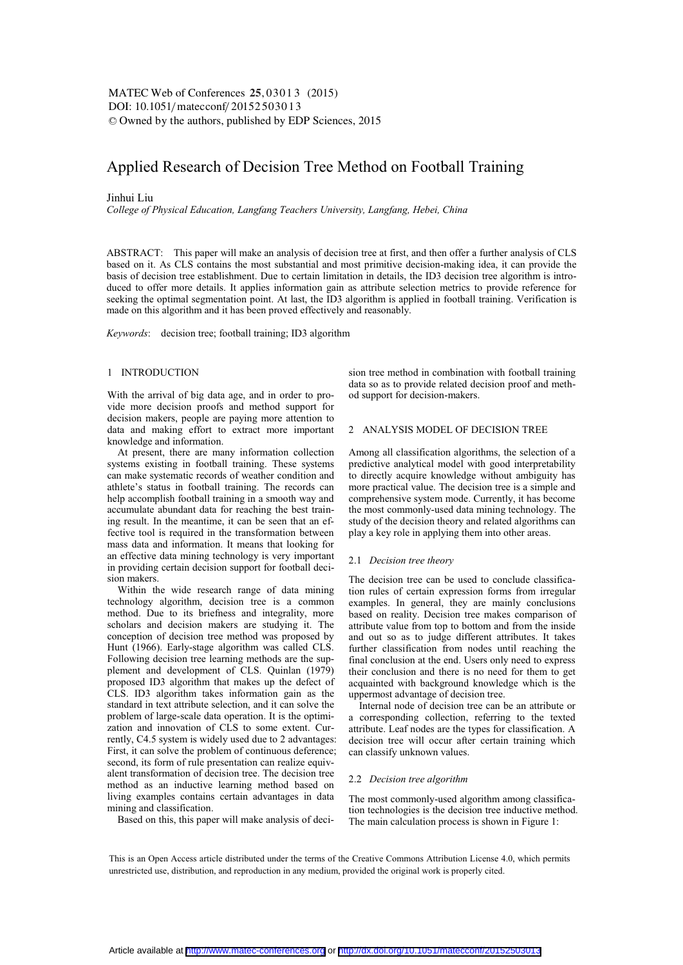DOI: 10.1051/ matecconf/ 20152503013 -<sup>C</sup> Owned by the authors, published by EDP Sciences, 2015 MATEC Web of Conferences 25, 03013 (2015)

# Applied Research of Decision Tree Method on Football Training

### Jinhui Liu

*College of Physical Education, Langfang Teachers University, Langfang, Hebei, China* 

ABSTRACT: This paper will make an analysis of decision tree at first, and then offer a further analysis of CLS based on it. As CLS contains the most substantial and most primitive decision-making idea, it can provide the basis of decision tree establishment. Due to certain limitation in details, the ID3 decision tree algorithm is introduced to offer more details. It applies information gain as attribute selection metrics to provide reference for seeking the optimal segmentation point. At last, the ID3 algorithm is applied in football training. Verification is made on this algorithm and it has been proved effectively and reasonably.

*Keywords*: decision tree; football training; ID3 algorithm

# 1 INTRODUCTION

With the arrival of big data age, and in order to provide more decision proofs and method support for decision makers, people are paying more attention to data and making effort to extract more important knowledge and information.

At present, there are many information collection systems existing in football training. These systems can make systematic records of weather condition and athlete's status in football training. The records can help accomplish football training in a smooth way and accumulate abundant data for reaching the best training result. In the meantime, it can be seen that an effective tool is required in the transformation between mass data and information. It means that looking for an effective data mining technology is very important in providing certain decision support for football decision makers.

Within the wide research range of data mining technology algorithm, decision tree is a common method. Due to its briefness and integrality, more scholars and decision makers are studying it. The conception of decision tree method was proposed by Hunt (1966). Early-stage algorithm was called CLS. Following decision tree learning methods are the supplement and development of CLS. Quinlan (1979) proposed ID3 algorithm that makes up the defect of CLS. ID3 algorithm takes information gain as the standard in text attribute selection, and it can solve the problem of large-scale data operation. It is the optimization and innovation of CLS to some extent. Currently, C4.5 system is widely used due to 2 advantages: First, it can solve the problem of continuous deference; second, its form of rule presentation can realize equivalent transformation of decision tree. The decision tree method as an inductive learning method based on living examples contains certain advantages in data mining and classification.

Based on this, this paper will make analysis of deci-

sion tree method in combination with football training data so as to provide related decision proof and method support for decision-makers.

### 2 ANALYSIS MODEL OF DECISION TREE

Among all classification algorithms, the selection of a predictive analytical model with good interpretability to directly acquire knowledge without ambiguity has more practical value. The decision tree is a simple and comprehensive system mode. Currently, it has become the most commonly-used data mining technology. The study of the decision theory and related algorithms can play a key role in applying them into other areas.

# 2.1 *Decision tree theory*

The decision tree can be used to conclude classification rules of certain expression forms from irregular examples. In general, they are mainly conclusions based on reality. Decision tree makes comparison of attribute value from top to bottom and from the inside and out so as to judge different attributes. It takes further classification from nodes until reaching the final conclusion at the end. Users only need to express their conclusion and there is no need for them to get acquainted with background knowledge which is the uppermost advantage of decision tree.

Internal node of decision tree can be an attribute or a corresponding collection, referring to the texted attribute. Leaf nodes are the types for classification. A decision tree will occur after certain training which can classify unknown values.

### 2.2 *Decision tree algorithm*

The most commonly-used algorithm among classification technologies is the decision tree inductive method. The main calculation process is shown in Figure 1:

This is an Open Access article distributed under the terms of the Creative Commons Attribution License 4.0, which permits unrestricted use, distribution, and reproduction in any medium, provided the original work is properly cited.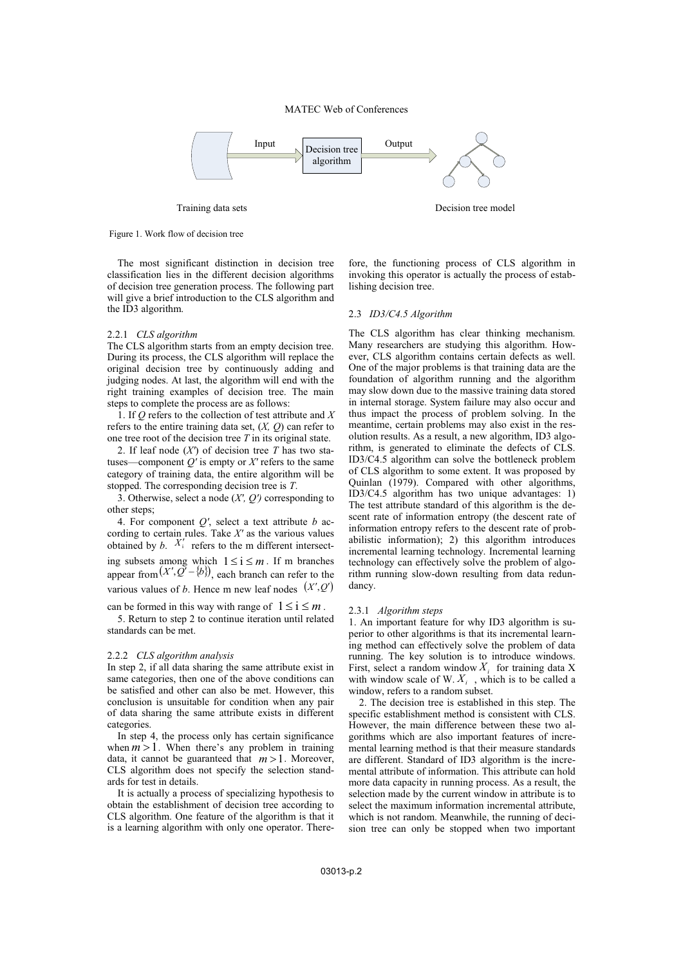

Training data sets Decision tree model

# Figure 1. Work flow of decision tree

The most significant distinction in decision tree classification lies in the different decision algorithms of decision tree generation process. The following part will give a brief introduction to the CLS algorithm and the ID3 algorithm.

# 2.2.1 *CLS algorithm*

The CLS algorithm starts from an empty decision tree. During its process, the CLS algorithm will replace the original decision tree by continuously adding and judging nodes. At last, the algorithm will end with the right training examples of decision tree. The main steps to complete the process are as follows:

1. If *Q* refers to the collection of test attribute and *X* refers to the entire training data set, (*X, Q*) can refer to one tree root of the decision tree *T* in its original state.

2. If leaf node (*X′*) of decision tree *T* has two statuses—component  $Q'$  is empty or  $X'$  refers to the same category of training data, the entire algorithm will be stopped. The corresponding decision tree is *T*.

3. Otherwise, select a node (*X′, Q′)* corresponding to other steps;

4. For component *Q′*, select a text attribute *b* according to certain rules. Take *X′* as the various values obtained by  $b$ .  $X_i'$  refers to the m different intersecting subsets among which  $1 \le i \le m$ . If m branches appear from  $(X', Q' - \{b\})$ , each branch can refer to the various values of *b*. Hence m new leaf nodes  $(X', Q')$ 

can be formed in this way with range of  $1 \le i \le m$ .

5. Return to step 2 to continue iteration until related standards can be met.

#### 2.2.2 *CLS algorithm analysis*

In step 2, if all data sharing the same attribute exist in same categories, then one of the above conditions can be satisfied and other can also be met. However, this conclusion is unsuitable for condition when any pair of data sharing the same attribute exists in different categories.

In step 4, the process only has certain significance when  $m > 1$ . When there's any problem in training data, it cannot be guaranteed that  $m > 1$ . Moreover, CLS algorithm does not specify the selection standards for test in details.

It is actually a process of specializing hypothesis to obtain the establishment of decision tree according to CLS algorithm. One feature of the algorithm is that it is a learning algorithm with only one operator. Therefore, the functioning process of CLS algorithm in invoking this operator is actually the process of establishing decision tree.

#### 2.3 *ID3/C4.5 Algorithm*

The CLS algorithm has clear thinking mechanism. Many researchers are studying this algorithm. However, CLS algorithm contains certain defects as well. One of the major problems is that training data are the foundation of algorithm running and the algorithm may slow down due to the massive training data stored in internal storage. System failure may also occur and thus impact the process of problem solving. In the meantime, certain problems may also exist in the resolution results. As a result, a new algorithm, ID3 algorithm, is generated to eliminate the defects of CLS. ID3/C4.5 algorithm can solve the bottleneck problem of CLS algorithm to some extent. It was proposed by Quinlan (1979). Compared with other algorithms, ID3/C4.5 algorithm has two unique advantages: 1) The test attribute standard of this algorithm is the descent rate of information entropy (the descent rate of information entropy refers to the descent rate of probabilistic information); 2) this algorithm introduces incremental learning technology. Incremental learning technology can effectively solve the problem of algorithm running slow-down resulting from data redundancy.

#### 2.3.1 *Algorithm steps*

1. An important feature for why ID3 algorithm is superior to other algorithms is that its incremental learning method can effectively solve the problem of data running. The key solution is to introduce windows. First, select a random window  $X_i$  for training data X with window scale of W.  $X_i$ , which is to be called a window, refers to a random subset.

2. The decision tree is established in this step. The specific establishment method is consistent with CLS. However, the main difference between these two algorithms which are also important features of incremental learning method is that their measure standards are different. Standard of ID3 algorithm is the incremental attribute of information. This attribute can hold more data capacity in running process. As a result, the selection made by the current window in attribute is to select the maximum information incremental attribute, which is not random. Meanwhile, the running of decision tree can only be stopped when two important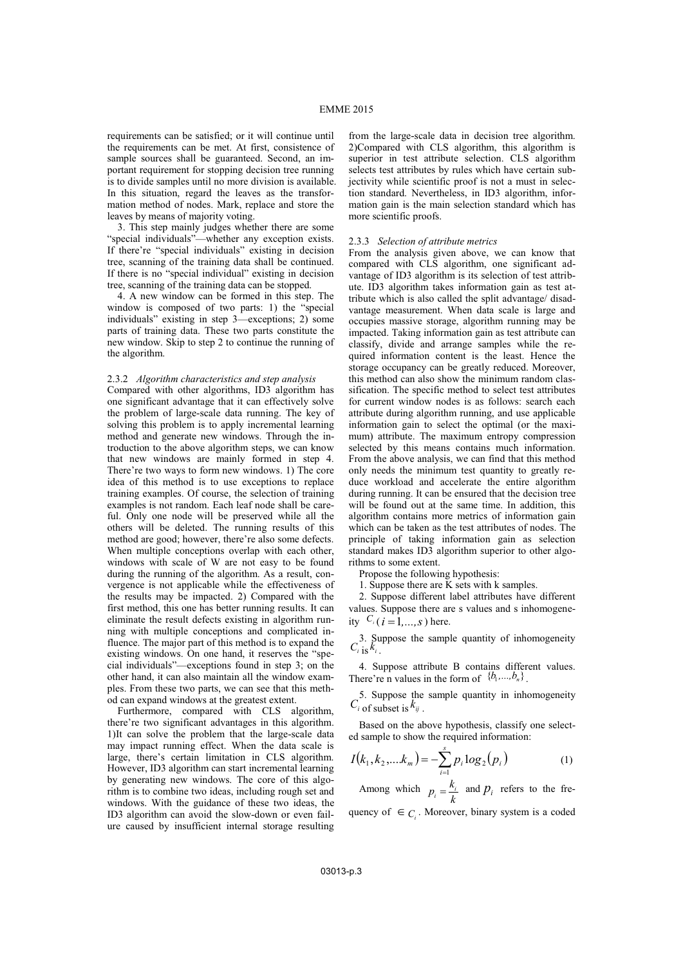requirements can be satisfied; or it will continue until the requirements can be met. At first, consistence of sample sources shall be guaranteed. Second, an important requirement for stopping decision tree running is to divide samples until no more division is available. In this situation, regard the leaves as the transformation method of nodes. Mark, replace and store the leaves by means of majority voting.

3. This step mainly judges whether there are some "special individuals"—whether any exception exists. If there're "special individuals" existing in decision tree, scanning of the training data shall be continued. If there is no "special individual" existing in decision tree, scanning of the training data can be stopped.

4. A new window can be formed in this step. The window is composed of two parts: 1) the "special individuals" existing in step 3—exceptions; 2) some parts of training data. These two parts constitute the new window. Skip to step 2 to continue the running of the algorithm.

#### 2.3.2 *Algorithm characteristics and step analysis*

Compared with other algorithms, ID3 algorithm has one significant advantage that it can effectively solve the problem of large-scale data running. The key of solving this problem is to apply incremental learning method and generate new windows. Through the introduction to the above algorithm steps, we can know that new windows are mainly formed in step 4. There're two ways to form new windows. 1) The core idea of this method is to use exceptions to replace training examples. Of course, the selection of training examples is not random. Each leaf node shall be careful. Only one node will be preserved while all the others will be deleted. The running results of this method are good; however, there're also some defects. When multiple conceptions overlap with each other, windows with scale of W are not easy to be found during the running of the algorithm. As a result, convergence is not applicable while the effectiveness of the results may be impacted. 2) Compared with the first method, this one has better running results. It can eliminate the result defects existing in algorithm running with multiple conceptions and complicated influence. The major part of this method is to expand the existing windows. On one hand, it reserves the "special individuals"—exceptions found in step 3; on the other hand, it can also maintain all the window examples. From these two parts, we can see that this method can expand windows at the greatest extent.

Furthermore, compared with CLS algorithm, there're two significant advantages in this algorithm. 1)It can solve the problem that the large-scale data may impact running effect. When the data scale is large, there's certain limitation in CLS algorithm. However, ID3 algorithm can start incremental learning by generating new windows. The core of this algorithm is to combine two ideas, including rough set and windows. With the guidance of these two ideas, the ID3 algorithm can avoid the slow-down or even failure caused by insufficient internal storage resulting

from the large-scale data in decision tree algorithm. 2)Compared with CLS algorithm, this algorithm is superior in test attribute selection. CLS algorithm selects test attributes by rules which have certain subjectivity while scientific proof is not a must in selection standard. Nevertheless, in ID3 algorithm, information gain is the main selection standard which has more scientific proofs.

#### 2.3.3 *Selection of attribute metrics*

From the analysis given above, we can know that compared with CLS algorithm, one significant advantage of ID3 algorithm is its selection of test attribute. ID3 algorithm takes information gain as test attribute which is also called the split advantage/ disadvantage measurement. When data scale is large and occupies massive storage, algorithm running may be impacted. Taking information gain as test attribute can classify, divide and arrange samples while the required information content is the least. Hence the storage occupancy can be greatly reduced. Moreover, this method can also show the minimum random classification. The specific method to select test attributes for current window nodes is as follows: search each attribute during algorithm running, and use applicable information gain to select the optimal (or the maximum) attribute. The maximum entropy compression selected by this means contains much information. From the above analysis, we can find that this method only needs the minimum test quantity to greatly reduce workload and accelerate the entire algorithm during running. It can be ensured that the decision tree will be found out at the same time. In addition, this algorithm contains more metrics of information gain which can be taken as the test attributes of nodes. The principle of taking information gain as selection standard makes ID3 algorithm superior to other algorithms to some extent.

Propose the following hypothesis:

1. Suppose there are K sets with k samples.

2. Suppose different label attributes have different values. Suppose there are s values and s inhomogeneity  $C_i$  ( $i = 1,...,s$ ) here.  $1, \ldots, s$ ) here.

3. Suppose the sample quantity of inhomogeneity  $C_i$  is  $k_i$ .

4. Suppose attribute B contains different values. There're n values in the form of  ${b_1, ..., b_n}$ .

5. Suppose the sample quantity in inhomogeneity  $C_i$  of subset is  $k_{ij}$ .

Based on the above hypothesis, classify one selected sample to show the required information:

$$
I(k_1, k_2, \dots, k_m) = -\sum_{i=1}^{s} p_i \log_2(p_i)
$$
 (1)

Among which  $p_i = \frac{k_i}{k}$  and  $p_i$  refers to the fre-

quency of  $\in C_i$ . Moreover, binary system is a coded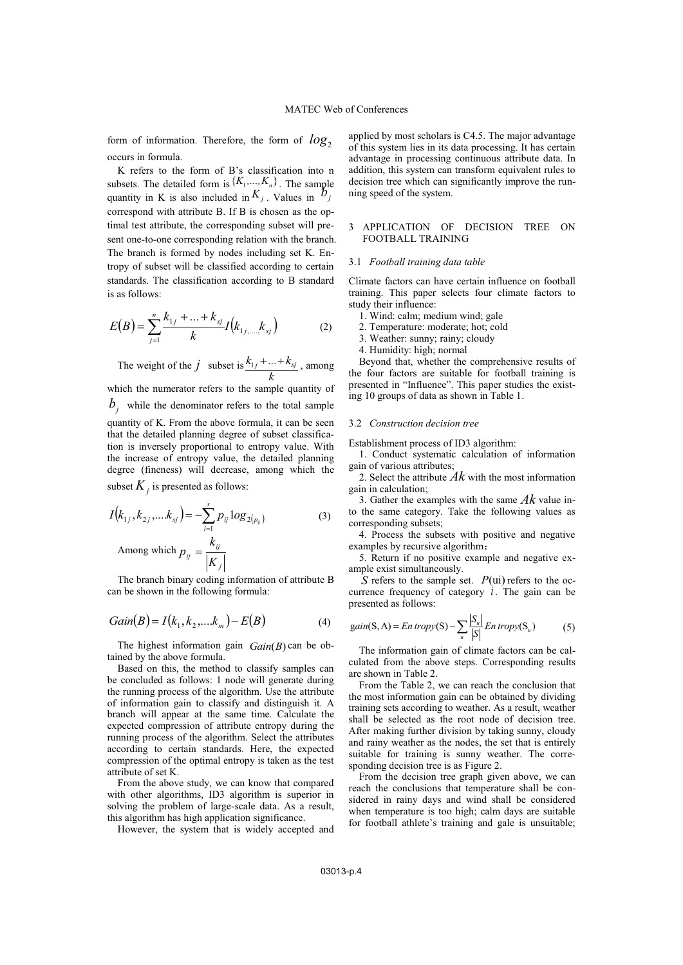form of information. Therefore, the form of  $log_2$ occurs in formula.

K refers to the form of B's classification into n subsets. The detailed form is  $\{K_1, \ldots, K_n\}$ . The sample quantity in K is also included in  $K_j$ . Values in  $\mathcal{b}_j$ correspond with attribute B. If B is chosen as the optimal test attribute, the corresponding subset will present one-to-one corresponding relation with the branch. The branch is formed by nodes including set K. Entropy of subset will be classified according to certain standards. The classification according to B standard is as follows:

$$
E(B) = \sum_{j=1}^{n} \frac{k_{1j} + \ldots + k_{sj}}{k} I(k_{1j,\ldots,k_{sj}})
$$
 (2)

The weight of the *j* subset is  $k_{1j}$  + ... +  $k_{sj}$ *k*  $+\ldots+k_{sj}$ , among which the numerator refers to the sample quantity of  $b_i$  while the denominator refers to the total sample quantity of K. From the above formula, it can be seen that the detailed planning degree of subset classification is inversely proportional to entropy value. With the increase of entropy value, the detailed planning degree (fineness) will decrease, among which the subset  $K_i$  is presented as follows:

$$
I(k_{1j}, k_{2j},...k_{sj}) = -\sum_{i=1}^{s} p_{ij} \log_{2(p_{ij})}
$$
\nAmong which

\n
$$
p_{ij} = \frac{k_{ij}}{|K_{j}|}
$$
\n(3)

The branch binary coding information of attribute B can be shown in the following formula:

$$
Gain(B) = I(k_1, k_2, \dots, k_m) - E(B)
$$
 (4)

The highest information gain  $Gain(B)$  can be obtained by the above formula.

Based on this, the method to classify samples can be concluded as follows: 1 node will generate during the running process of the algorithm. Use the attribute of information gain to classify and distinguish it. A branch will appear at the same time. Calculate the expected compression of attribute entropy during the running process of the algorithm. Select the attributes according to certain standards. Here, the expected compression of the optimal entropy is taken as the test attribute of set K.

From the above study, we can know that compared with other algorithms, ID3 algorithm is superior in solving the problem of large-scale data. As a result, this algorithm has high application significance.

However, the system that is widely accepted and

applied by most scholars is C4.5. The major advantage of this system lies in its data processing. It has certain advantage in processing continuous attribute data. In addition, this system can transform equivalent rules to decision tree which can significantly improve the running speed of the system.

#### 3 APPLICATION OF DECISION TREE ON FOOTBALL TRAINING

#### 3.1 *Football training data table*

Climate factors can have certain influence on football training. This paper selects four climate factors to study their influence:

- 1. Wind: calm; medium wind; gale
- 2. Temperature: moderate; hot; cold
- 3. Weather: sunny; rainy; cloudy
- 4. Humidity: high; normal

Beyond that, whether the comprehensive results of the four factors are suitable for football training is presented in "Influence". This paper studies the existing 10 groups of data as shown in Table 1.

#### 3.2 *Construction decision tree*

Establishment process of ID3 algorithm:

1. Conduct systematic calculation of information gain of various attributes;

2. Select the attribute *Ak* with the most information gain in calculation;

3. Gather the examples with the same *Ak* value into the same category. Take the following values as corresponding subsets;

4. Process the subsets with positive and negative examples by recursive algorithm;

5. Return if no positive example and negative example exist simultaneously.

 $S$  refers to the sample set.  $P(\text{ui})$  refers to the occurrence frequency of category  $i$ . The gain can be presented as follows:

$$
gain(S, A) = En \, tropy(S) - \sum_{u} \frac{|S_u|}{|S|} En \, tropy(S_u)
$$
 (5)

The information gain of climate factors can be calculated from the above steps. Corresponding results are shown in Table 2.

From the Table 2, we can reach the conclusion that the most information gain can be obtained by dividing training sets according to weather. As a result, weather shall be selected as the root node of decision tree. After making further division by taking sunny, cloudy and rainy weather as the nodes, the set that is entirely suitable for training is sunny weather. The corresponding decision tree is as Figure 2.

From the decision tree graph given above, we can reach the conclusions that temperature shall be considered in rainy days and wind shall be considered when temperature is too high; calm days are suitable for football athlete's training and gale is unsuitable;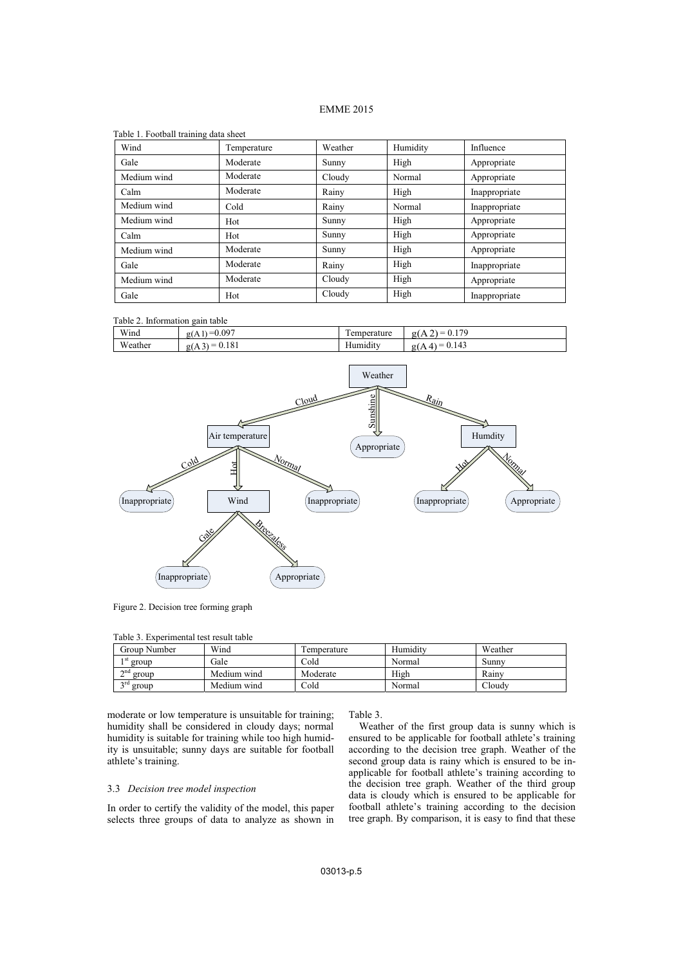# EMME 2015

| Table 1. Football training data sheet |             |         |          |               |
|---------------------------------------|-------------|---------|----------|---------------|
| Wind                                  | Temperature | Weather | Humidity | Influence     |
| Gale                                  | Moderate    | Sunny   | High     | Appropriate   |
| Medium wind                           | Moderate    | Cloudy  | Normal   | Appropriate   |
| Calm                                  | Moderate    | Rainy   | High     | Inappropriate |
| Medium wind                           | Cold        | Rainy   | Normal   | Inappropriate |
| Medium wind                           | Hot         | Sunny   | High     | Appropriate   |
| Calm                                  | Hot         | Sunny   | High     | Appropriate   |
| Medium wind                           | Moderate    | Sunny   | High     | Appropriate   |
| Gale                                  | Moderate    | Rainy   | High     | Inappropriate |
| Medium wind                           | Moderate    | Cloudy  | High     | Appropriate   |
| Gale                                  | Hot         | Cloudy  | High     | Inappropriate |

| Table 2. Information gain table |  |
|---------------------------------|--|
|                                 |  |

| Wind          | 0.097<br>_<br>$\alpha$<br>KIA 1.                                                          | $\sim$<br>perature<br>موم .                 | 170<br>$\overline{\phantom{a}}$<br>g(f)<br>$\lambda$<br>__<br>∪.⊥<br>$\sim$ |
|---------------|-------------------------------------------------------------------------------------------|---------------------------------------------|-----------------------------------------------------------------------------|
| W.<br>/eather | 101<br>$\sim$<br>$\overline{\phantom{a}}$<br>g(A3<br>J. I 8 I<br>$\overline{\phantom{a}}$ | $\overline{\phantom{a}}$<br>$-$<br>Humidity | ت41<br>$\overline{\phantom{a}}$<br>$\sigma$ .<br>_<br>0.11                  |



Figure 2. Decision tree forming graph

| Table 3. Experimental test result table |  |  |
|-----------------------------------------|--|--|
|-----------------------------------------|--|--|

| Group Number         | Wind        | l'emperature | Humidity | Weather |
|----------------------|-------------|--------------|----------|---------|
| 1 St<br>group        | Gale        | Cold         | Normal   | Sunnv   |
| $\sim$ nd<br>group   | Medium wind | Moderate     | High     | Rainv   |
| $\gamma$ rd<br>group | Medium wind | Cold         | Normal   | Cloudv  |

moderate or low temperature is unsuitable for training; humidity shall be considered in cloudy days; normal humidity is suitable for training while too high humidity is unsuitable; sunny days are suitable for football athlete's training.

# 3.3 *Decision tree model inspection*

In order to certify the validity of the model, this paper selects three groups of data to analyze as shown in

Table 3.

Weather of the first group data is sunny which is ensured to be applicable for football athlete's training according to the decision tree graph. Weather of the second group data is rainy which is ensured to be inapplicable for football athlete's training according to the decision tree graph. Weather of the third group data is cloudy which is ensured to be applicable for football athlete's training according to the decision tree graph. By comparison, it is easy to find that these